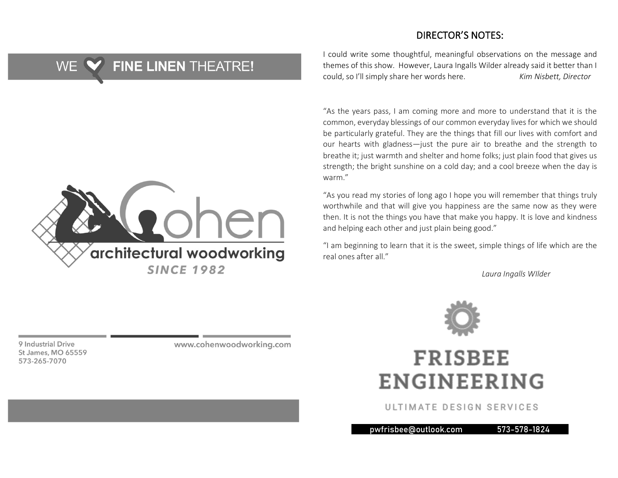#### DIRECTOR'S NOTES:

#### **FINE LINEN THEATRE!** WE.



I could write some thoughtful, meaningful observations on the message and themes of this show. However, Laura Ingalls Wilder already said it better than I could, so I'll simply share her words here. *Kim Nisbett, Director*

"As the years pass, I am coming more and more to understand that it is the common, everyday blessings of our common everyday lives for which we should be particularly grateful. They are the things that fill our lives with comfort and our hearts with gladness—just the pure air to breathe and the strength to breathe it; just warmth and shelter and home folks; just plain food that gives us strength; the bright sunshine on a cold day; and a cool breeze when the day is warm."

"As you read my stories of long ago I hope you will remember that things truly worthwhile and that will give you happiness are the same now as they were then. It is not the things you have that make you happy. It is love and kindness and helping each other and just plain being good."

"I am beginning to learn that it is the sweet, simple things of life which are the real ones after all."

*Laura Ingalls WIlder*



## **FRISBEE ENGINEERING**

ULTIMATE DESIGN SERVICES

pwfrisbee@outlook.com 573-578-1824 4

9 Industrial Drive St James, MO 65559 573-265-7070

www.cohenwoodworking.com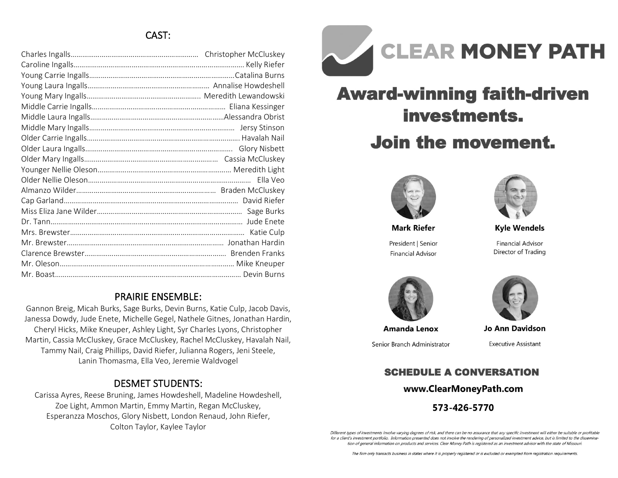### CAST:

#### PRAIRIE ENSEMBLE:

Gannon Breig, Micah Burks, Sage Burks, Devin Burns, Katie Culp, Jacob Davis, Janessa Dowdy, Jude Enete, Michelle Gegel, Nathele Gitnes, Jonathan Hardin, Cheryl Hicks, Mike Kneuper, Ashley Light, Syr Charles Lyons, Christopher Martin, Cassia McCluskey, Grace McCluskey, Rachel McCluskey, Havalah Nail, Tammy Nail, Craig Phillips, David Riefer, Julianna Rogers, Jeni Steele, Lanin Thomasma, Ella Veo, Jeremie Waldvogel

#### DESMET STUDENTS:

Carissa Ayres, Reese Bruning, James Howdeshell, Madeline Howdeshell, Zoe Light, Ammon Martin, Emmy Martin, Regan McCluskey, Esperanzza Moschos, Glory Nisbett, London Renaud, John Riefer, Colton Taylor, Kaylee Taylor



# **Award-winning faith-driven** investments.

## **Join the movement.**



**Mark Riefer** President | Senior **Financial Advisor** 



**Kyle Wendels** 

**Financial Advisor** Director of Trading





Senior Branch Administrator



**Jo Ann Davidson** 

**Executive Assistant** 

## **SCHEDULE A CONVERSATION**

#### www.ClearMoneyPath.com

573-426-5770

Different types of investments involve varying degrees of risk, and there can be no assurance that any specific investment will either be suitable or profitable for a client's investment portfolio. Information presented does not involve the rendering of personalized investment advice, but is limited to the dissemination of general information on products and services. Clear Money Path is registered as an investment advisor with the state of Missouri.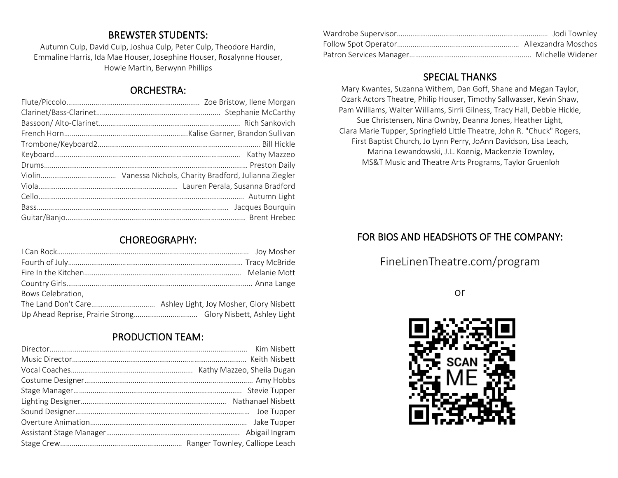#### BREWSTER STUDENTS:

Autumn Culp, David Culp, Joshua Culp, Peter Culp, Theodore Hardin, Emmaline Harris, Ida Mae Houser, Josephine Houser, Rosalynne Houser, Howie Martin, Berwynn Phillips

#### ORCHESTRA:

#### CHOREOGRAPHY:

| Bows Celebration, |  |
|-------------------|--|
|                   |  |
|                   |  |

#### PRODUCTION TEAM:

#### SPECIAL THANKS

Mary Kwantes, Suzanna Withem, Dan Goff, Shane and Megan Taylor, Ozark Actors Theatre, Philip Houser, Timothy Sallwasser, Kevin Shaw, Pam Williams, Walter Williams, Sirrii Gilness, Tracy Hall, Debbie Hickle, Sue Christensen, Nina Ownby, Deanna Jones, Heather Light, Clara Marie Tupper, Springfield Little Theatre, John R. "Chuck" Rogers, First Baptist Church, Jo Lynn Perry, JoAnn Davidson, Lisa Leach, Marina Lewandowski, J.L. Koenig, Mackenzie Townley, MS&T Music and Theatre Arts Programs, Taylor Gruenloh

#### FOR BIOS AND HEADSHOTS OF THE COMPANY:

FineLinenTheatre.com/program

or

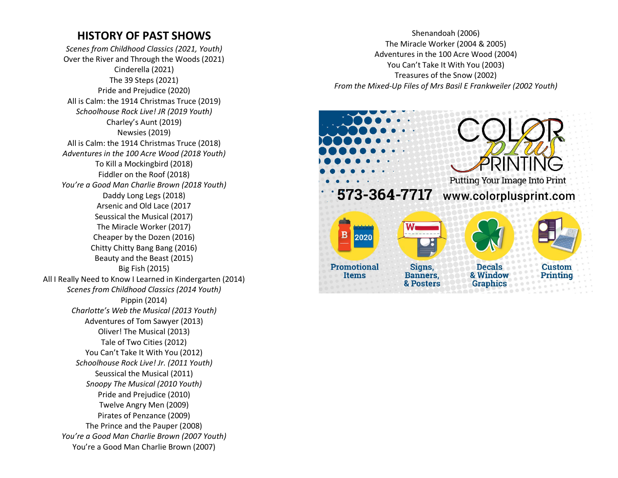## **HISTORY OF PAST SHOWS**

*Scenes from Childhood Classics (2021, Youth)* Over the River and Through the Woods (2021) Cinderella (2021) The 39 Steps (2021) Pride and Prejudice (2020) All is Calm: the 1914 Christmas Truce (2019) *Schoolhouse Rock Live! JR (2019 Youth)* Charley's Aunt (2019) Newsies (2019) All is Calm: the 1914 Christmas Truce (2018) *Adventures in the 100 Acre Wood (2018 Youth)* To Kill a Mockingbird (2018) Fiddler on the Roof (2018) *You're a Good Man Charlie Brown (2018 Youth)* Daddy Long Legs (2018) Arsenic and Old Lace (2017 Seussical the Musical (2017) The Miracle Worker (2017) Cheaper by the Dozen (2016) Chitty Chitty Bang Bang (2016) Beauty and the Beast (2015) Big Fish (2015) All I Really Need to Know I Learned in Kindergarten (2014) *Scenes from Childhood Classics (2014 Youth)* Pippin (2014) *Charlotte's Web the Musical (2013 Youth)* Adventures of Tom Sawyer (2013) Oliver! The Musical (2013) Tale of Two Cities (2012) You Can't Take It With You (2012) *Schoolhouse Rock Live! Jr. (2011 Youth)* Seussical the Musical (2011) *Snoopy The Musical (2010 Youth)* Pride and Prejudice (2010) Twelve Angry Men (2009) Pirates of Penzance (2009) The Prince and the Pauper (2008) *You're a Good Man Charlie Brown (2007 Youth)* You're a Good Man Charlie Brown (2007)

Shenandoah (2006) The Miracle Worker (2004 & 2005) Adventures in the 100 Acre Wood (2004) You Can't Take It With You (2003) Treasures of the Snow (2002) *From the Mixed-Up Files of Mrs Basil E Frankweiler (2002 Youth)*